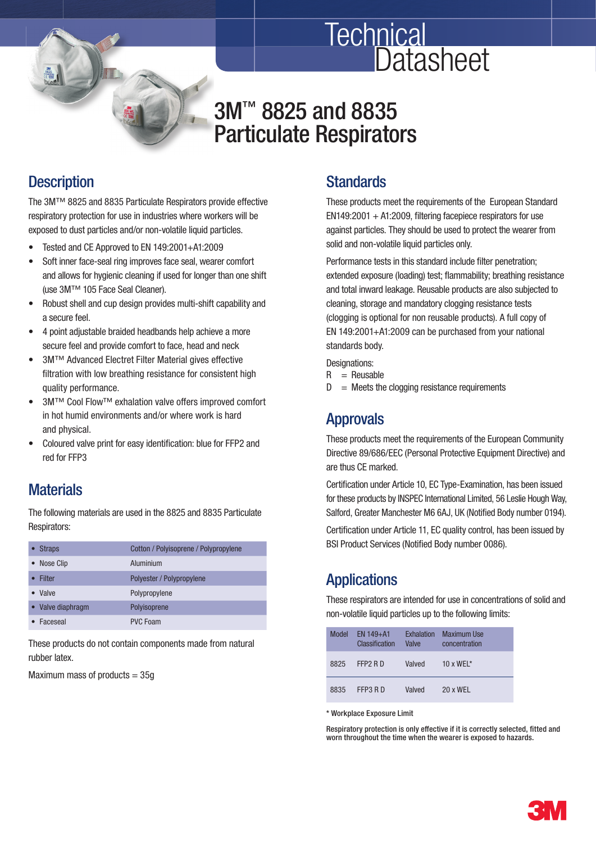

# 3M<sup>™</sup> 8825 and 8835 Particulate Respirators

#### **Description**

The 3M™ 8825 and 8835 Particulate Respirators provide effective respiratory protection for use in industries where workers will be exposed to dust particles and/or non-volatile liquid particles.

- Tested and CE Approved to EN 149:2001+A1:2009
- Soft inner face-seal ring improves face seal, wearer comfort and allows for hygienic cleaning if used for longer than one shift (use 3M™ 105 Face Seal Cleaner).
- Robust shell and cup design provides multi-shift capability and a secure feel.
- 4 point adjustable braided headbands help achieve a more secure feel and provide comfort to face, head and neck
- 3M™ Advanced Electret Filter Material gives effective filtration with low breathing resistance for consistent high quality performance.
- 3M™ Cool Flow™ exhalation valve offers improved comfort in hot humid environments and/or where work is hard and physical.
- Coloured valve print for easy identification: blue for FFP2 and red for FFP3

#### **Materials**

 The following materials are used in the 8825 and 8835 Particulate Respirators:

| <b>Straps</b>     | Cotton / Polyisoprene / Polypropylene |  |
|-------------------|---------------------------------------|--|
| Nose Clip         | Aluminium                             |  |
| <b>Filter</b>     | Polyester / Polypropylene             |  |
| <b>Valve</b>      | Polypropylene                         |  |
| • Valve diaphragm | Polyisoprene                          |  |
| Faceseal          | <b>PVC Foam</b>                       |  |
|                   |                                       |  |

 These products do not contain components made from natural rubber latex.

Maximum mass of products  $= 35g$ 

#### **Standards**

**Technical** 

 These products meet the requirements of the European Standard  $EN149:2001 + A1:2009$ . filtering facepiece respirators for use against particles. They should be used to protect the wearer from solid and non-volatile liquid particles only.

**Datasheet** 

Performance tests in this standard include filter penetration: extended exposure (loading) test; flammability; breathing resistance and total inward leakage. Reusable products are also subjected to cleaning, storage and mandatory clogging resistance tests (clogging is optional for non reusable products). A full copy of EN 149:2001+A1:2009 can be purchased from your national standards body.

Designations:

- $R =$  Reusable
- $D =$  Meets the clogging resistance requirements

#### Approvals

 These products meet the requirements of the European Community Directive 89/686/EEC (Personal Protective Equipment Directive) and are thus CE marked.

Certification under Article 10, EC Type-Examination, has been issued for these products by INSPEC International Limited, 56 Leslie Hough Way, Salford, Greater Manchester M6 6AJ, UK (Notified Body number 0194).

Certification under Article 11, EC quality control, has been issued by BSI Product Services (Notified Body number 0086).

# **Applications**

 These respirators are intended for use in concentrations of solid and non-volatile liquid particles up to the following limits:

| Model | <b>FN 149+A1</b><br>Classification | <b>Exhalation</b><br><b>Valve</b> | <b>Maximum Use</b><br>concentration |
|-------|------------------------------------|-----------------------------------|-------------------------------------|
| 8825  | FFP <sub>2</sub> R D               | Valved                            | 10 x WFI $*$                        |
| 8835  | FFP3 RD                            | Valved                            | 20 x WFL                            |

\* Workplace Exposure Limit

Respiratory protection is only effective if it is correctly selected, fitted and worn throughout the time when the wearer is exposed to hazards.